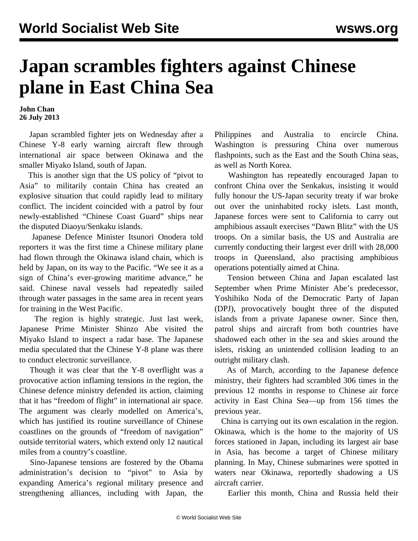## **Japan scrambles fighters against Chinese plane in East China Sea**

**John Chan 26 July 2013**

 Japan scrambled fighter jets on Wednesday after a Chinese Y-8 early warning aircraft flew through international air space between Okinawa and the smaller Miyako Island, south of Japan.

 This is another sign that the US policy of "pivot to Asia" to militarily contain China has created an explosive situation that could rapidly lead to military conflict. The incident coincided with a patrol by four newly-established "Chinese Coast Guard" ships near the disputed Diaoyu/Senkaku islands.

 Japanese Defence Minister Itsunori Onodera told reporters it was the first time a Chinese military plane had flown through the Okinawa island chain, which is held by Japan, on its way to the Pacific. "We see it as a sign of China's ever-growing maritime advance," he said. Chinese naval vessels had repeatedly sailed through water passages in the same area in recent years for training in the West Pacific.

 The region is highly strategic. Just last week, Japanese Prime Minister Shinzo Abe visited the Miyako Island to inspect a radar base. The Japanese media speculated that the Chinese Y-8 plane was there to conduct electronic surveillance.

 Though it was clear that the Y-8 overflight was a provocative action inflaming tensions in the region, the Chinese defence ministry defended its action, claiming that it has "freedom of flight" in international air space. The argument was clearly modelled on America's, which has justified its routine surveillance of Chinese coastlines on the grounds of "freedom of navigation" outside territorial waters, which extend only 12 nautical miles from a country's coastline.

 Sino-Japanese tensions are fostered by the Obama administration's decision to "pivot" to Asia by expanding America's regional military presence and strengthening alliances, including with Japan, the Philippines and Australia to encircle China. Washington is pressuring China over numerous flashpoints, such as the East and the South China seas, as well as North Korea.

 Washington has repeatedly encouraged Japan to confront China over the Senkakus, insisting it would fully honour the US-Japan security treaty if war broke out over the uninhabited rocky islets. Last month, Japanese forces were sent to California to carry out amphibious assault exercises "Dawn Blitz" with the US troops. On a similar basis, the US and Australia are currently conducting their largest ever drill with 28,000 troops in Queensland, also practising amphibious operations potentially aimed at China.

 Tension between China and Japan escalated last September when Prime Minister Abe's predecessor, Yoshihiko Noda of the Democratic Party of Japan (DPJ), provocatively bought three of the disputed islands from a private Japanese owner. Since then, patrol ships and aircraft from both countries have shadowed each other in the sea and skies around the islets, risking an unintended collision leading to an outright military clash.

 As of March, according to the Japanese defence ministry, their fighters had scrambled 306 times in the previous 12 months in response to Chinese air force activity in East China Sea—up from 156 times the previous year.

 China is carrying out its own escalation in the region. Okinawa, which is the home to the majority of US forces stationed in Japan, including its largest air base in Asia, has become a target of Chinese military planning. In May, Chinese submarines were spotted in waters near Okinawa, reportedly shadowing a US aircraft carrier.

Earlier this month, China and Russia held their